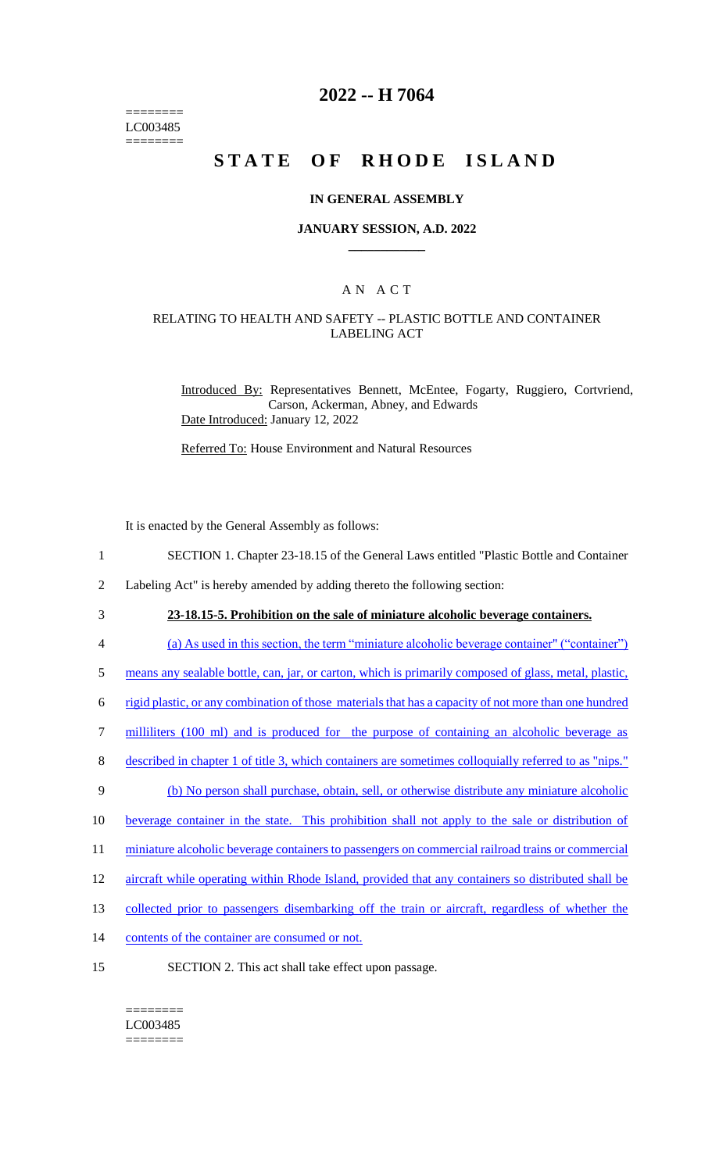======== LC003485 ========

# **2022 -- H 7064**

# **STATE OF RHODE ISLAND**

#### **IN GENERAL ASSEMBLY**

#### **JANUARY SESSION, A.D. 2022 \_\_\_\_\_\_\_\_\_\_\_\_**

## A N A C T

### RELATING TO HEALTH AND SAFETY -- PLASTIC BOTTLE AND CONTAINER LABELING ACT

Introduced By: Representatives Bennett, McEntee, Fogarty, Ruggiero, Cortvriend, Carson, Ackerman, Abney, and Edwards Date Introduced: January 12, 2022

Referred To: House Environment and Natural Resources

It is enacted by the General Assembly as follows:

- 1 SECTION 1. Chapter 23-18.15 of the General Laws entitled "Plastic Bottle and Container
- 2 Labeling Act" is hereby amended by adding thereto the following section:
- 

3 **23-18.15-5. Prohibition on the sale of miniature alcoholic beverage containers.** 

- 4 (a) As used in this section, the term "miniature alcoholic beverage container" ("container")
- 5 means any sealable bottle, can, jar, or carton, which is primarily composed of glass, metal, plastic,
- 6 rigid plastic, or any combination of those materials that has a capacity of not more than one hundred
- 7 milliliters (100 ml) and is produced for the purpose of containing an alcoholic beverage as
- 8 described in chapter 1 of title 3, which containers are sometimes colloquially referred to as "nips."
- 9 (b) No person shall purchase, obtain, sell, or otherwise distribute any miniature alcoholic
- 10 beverage container in the state. This prohibition shall not apply to the sale or distribution of
- 11 miniature alcoholic beverage containers to passengers on commercial railroad trains or commercial
- 12 aircraft while operating within Rhode Island, provided that any containers so distributed shall be
- 13 collected prior to passengers disembarking off the train or aircraft, regardless of whether the
- 14 contents of the container are consumed or not.
- 15 SECTION 2. This act shall take effect upon passage.

======== LC003485 ========